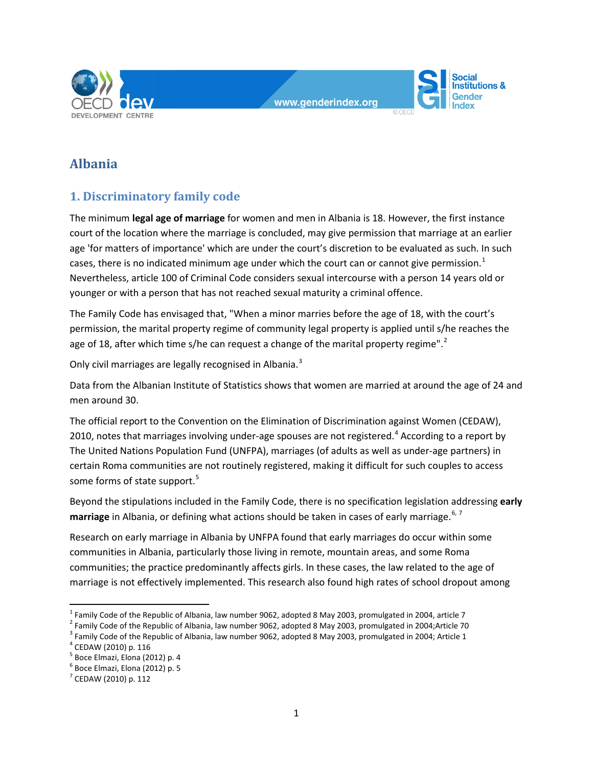



# **Albania**

## **1. Discriminatory family code**

The minimum **legal age of marriage** for women and men in Albania is 18. However, the first instance court of the location where the marriage is concluded, may give permission that marriage at an earlier age 'for matters of importance' which are under the court's discretion to be evaluated as such. In such cases, there is no indicated minimum age under which the court can or cannot give permission.<sup>[1](#page-0-0)</sup> Nevertheless, article 100 of Criminal Code considers sexual intercourse with a person 14 years old or younger or with a person that has not reached sexual maturity a criminal offence.

The Family Code has envisaged that, "When a minor marries before the age of 18, with the court's permission, the marital property regime of community legal property is applied until s/he reaches the age of 18, after which time s/he can request a change of the marital property regime". $2$ 

Only civil marriages are legally recognised in Albania.<sup>[3](#page-0-2)</sup>

Data from the Albanian Institute of Statistics shows that women are married at around the age of 24 and men around 30.

The official report to the Convention on the Elimination of Discrimination against Women (CEDAW), 2010, notes that marriages involving under-age spouses are not registered.<sup>[4](#page-0-3)</sup> According to a report by The United Nations Population Fund (UNFPA), marriages (of adults as well as under-age partners) in certain Roma communities are not routinely registered, making it difficult for such couples to access some forms of state support.<sup>[5](#page-0-4)</sup>

Beyond the stipulations included in the Family Code, there is no specification legislation addressing **early marriage** in Albania, or defining what actions should be taken in cases of early marriage.<sup>[6](#page-0-5), [7](#page-0-6)</sup>

Research on early marriage in Albania by UNFPA found that early marriages do occur within some communities in Albania, particularly those living in remote, mountain areas, and some Roma communities; the practice predominantly affects girls. In these cases, the law related to the age of marriage is not effectively implemented. This research also found high rates of school dropout among

<span id="page-0-0"></span> $<sup>1</sup>$  Family Code of the Republic of Albania, law number 9062, adopted 8 May 2003, promulgated in 2004, article 7</sup>

<span id="page-0-1"></span> $2$  Family Code of the Republic of Albania, law number 9062, adopted 8 May 2003, promulgated in 2004;Article 70

<span id="page-0-2"></span><sup>&</sup>lt;sup>3</sup> Family Code of the Republic of Albania, law number 9062, adopted 8 May 2003, promulgated in 2004; Article 1

<span id="page-0-3"></span><sup>4</sup> CEDAW (2010) p. 116

<span id="page-0-4"></span> $^5$  Boce Elmazi, Elona (2012) p. 4<br> $^6$  Boce Elmazi, Elona (2012) p. 5

<span id="page-0-5"></span>

<span id="page-0-6"></span> $7$  CEDAW (2010) p. 112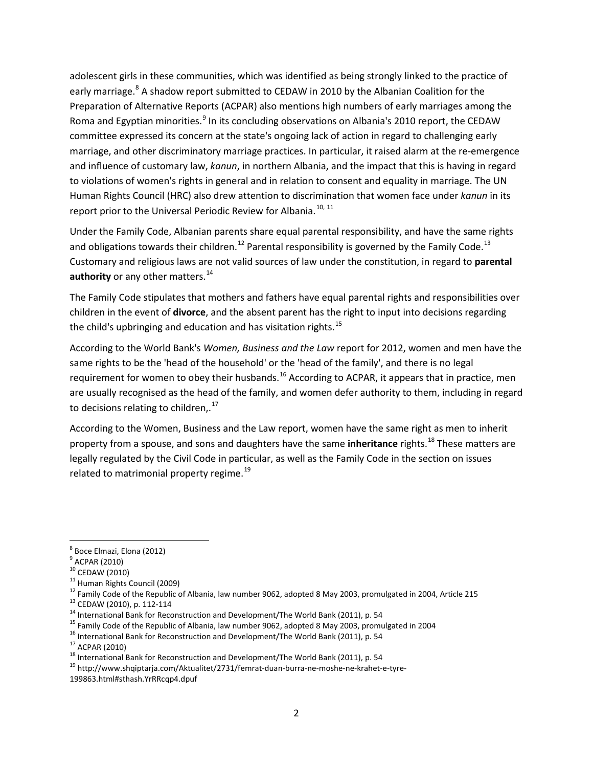adolescent girls in these communities, which was identified as being strongly linked to the practice of early marriage.<sup>[8](#page-1-0)</sup> A shadow report submitted to CEDAW in 2010 by the Albanian Coalition for the Preparation of Alternative Reports (ACPAR) also mentions high numbers of early marriages among the Roma and Egyptian minorities.<sup>[9](#page-1-1)</sup> In its concluding observations on Albania's 2010 report, the CEDAW committee expressed its concern at the state's ongoing lack of action in regard to challenging early marriage, and other discriminatory marriage practices. In particular, it raised alarm at the re-emergence and influence of customary law, *kanun*, in northern Albania, and the impact that this is having in regard to violations of women's rights in general and in relation to consent and equality in marriage. The UN Human Rights Council (HRC) also drew attention to discrimination that women face under *kanun* in its report prior to the Universal Periodic Review for Albania.<sup>[10,](#page-1-2) [11](#page-1-3)</sup>

Under the Family Code, Albanian parents share equal parental responsibility, and have the same rights and obligations towards their children.<sup>[12](#page-1-4)</sup> Parental responsibility is governed by the Family Code.<sup>[13](#page-1-5)</sup> Customary and religious laws are not valid sources of law under the constitution, in regard to **parental authority** or any other matters.<sup>[14](#page-1-6)</sup>

The Family Code stipulates that mothers and fathers have equal parental rights and responsibilities over children in the event of **divorce**, and the absent parent has the right to input into decisions regarding the child's upbringing and education and has visitation rights.<sup>[15](#page-1-7)</sup>

According to the World Bank's *Women, Business and the Law* report for 2012, women and men have the same rights to be the 'head of the household' or the 'head of the family', and there is no legal requirement for women to obey their husbands.<sup>[16](#page-1-8)</sup> According to ACPAR, it appears that in practice, men are usually recognised as the head of the family, and women defer authority to them, including in regard to decisions relating to children,. $^{17}$  $^{17}$  $^{17}$ 

According to the Women, Business and the Law report, women have the same right as men to inherit property from a spouse, and sons and daughters have the same **inheritance** rights.[18](#page-1-10) These matters are legally regulated by the Civil Code in particular, as well as the Family Code in the section on issues related to matrimonial property regime.<sup>[19](#page-1-11)</sup>

- <span id="page-1-8"></span>
- <span id="page-1-9"></span>

<span id="page-1-1"></span><span id="page-1-0"></span> $^8$  Boce Elmazi, Elona (2012)<br> $^9$  ACPAR (2010)

<span id="page-1-2"></span>

<span id="page-1-4"></span><span id="page-1-3"></span>

<sup>&</sup>lt;sup>9</sup> ACPAR (2010)<br><sup>10</sup> CEDAW (2010)<br><sup>11</sup> Human Rights Council (2009)<br><sup>12</sup> Family Code of the Republic of Albania, law number 9062, adopted 8 May 2003, promulgated in 2004, Article 215<br><sup>13</sup> CEDAW (2010), p. 112-114<br><sup>14</sup> Inte

<span id="page-1-5"></span>

<span id="page-1-6"></span>

<span id="page-1-7"></span>

<span id="page-1-10"></span>

<span id="page-1-11"></span>

<sup>199863.</sup>html#sthash.YrRRcqp4.dpuf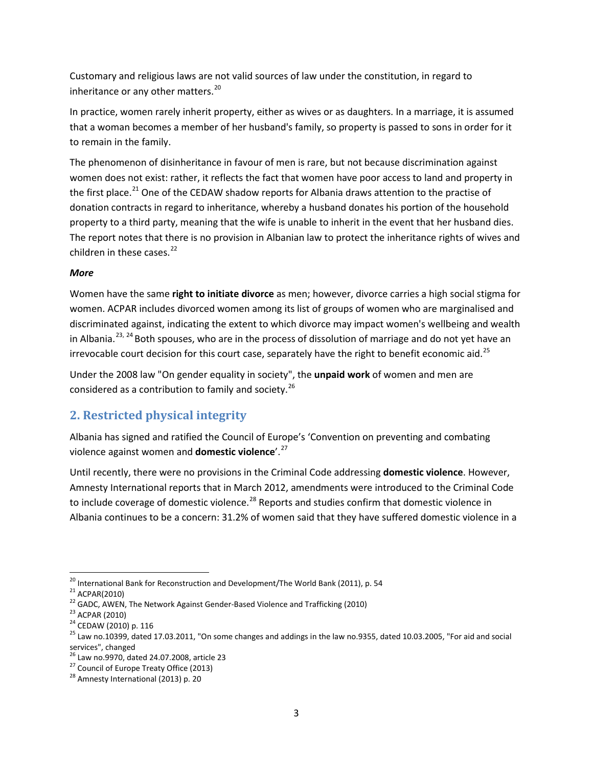Customary and religious laws are not valid sources of law under the constitution, in regard to inheritance or any other matters.<sup>[20](#page-2-0)</sup>

In practice, women rarely inherit property, either as wives or as daughters. In a marriage, it is assumed that a woman becomes a member of her husband's family, so property is passed to sons in order for it to remain in the family.

The phenomenon of disinheritance in favour of men is rare, but not because discrimination against women does not exist: rather, it reflects the fact that women have poor access to land and property in the first place.<sup>[21](#page-2-1)</sup> One of the CEDAW shadow reports for Albania draws attention to the practise of donation contracts in regard to inheritance, whereby a husband donates his portion of the household property to a third party, meaning that the wife is unable to inherit in the event that her husband dies. The report notes that there is no provision in Albanian law to protect the inheritance rights of wives and children in these cases. $^{22}$  $^{22}$  $^{22}$ 

#### *More*

Women have the same **right to initiate divorce** as men; however, divorce carries a high social stigma for women. ACPAR includes divorced women among its list of groups of women who are marginalised and discriminated against, indicating the extent to which divorce may impact women's wellbeing and wealth in Albania.<sup>[23,](#page-2-3) [24](#page-2-4)</sup> Both spouses, who are in the process of dissolution of marriage and do not yet have an irrevocable court decision for this court case, separately have the right to benefit economic aid.<sup>[25](#page-2-5)</sup>

Under the 2008 law "On gender equality in society", the **unpaid work** of women and men are considered as a contribution to family and society.<sup>[26](#page-2-6)</sup>

## **2. Restricted physical integrity**

Albania has signed and ratified the Council of Europe's 'Convention on preventing and combating violence against women and **domestic violence**'.[27](#page-2-7)

Until recently, there were no provisions in the Criminal Code addressing **domestic violence**. However, Amnesty International reports that in March 2012, amendments were introduced to the Criminal Code to include coverage of domestic violence.<sup>[28](#page-2-8)</sup> Reports and studies confirm that domestic violence in Albania continues to be a concern: 31.2% of women said that they have suffered domestic violence in a

<span id="page-2-3"></span><span id="page-2-2"></span>

<span id="page-2-5"></span><span id="page-2-4"></span>

<span id="page-2-1"></span><span id="page-2-0"></span><sup>&</sup>lt;sup>20</sup> International Bank for Reconstruction and Development/The World Bank (2011), p. 54<br><sup>21</sup> ACPAR(2010)<br><sup>22</sup> GADC, AWEN, The Network Against Gender-Based Violence and Trafficking (2010)<br><sup>23</sup> ACPAR (2010)<br><sup>24</sup> CEDAW (2010 services", changed<br><sup>26</sup> Law no.9970, dated 24.07.2008, article 23

<span id="page-2-8"></span><span id="page-2-7"></span><span id="page-2-6"></span><sup>&</sup>lt;sup>27</sup> Council of Europe Treaty Office (2013) <sup>28</sup> Amnesty International (2013) p. 20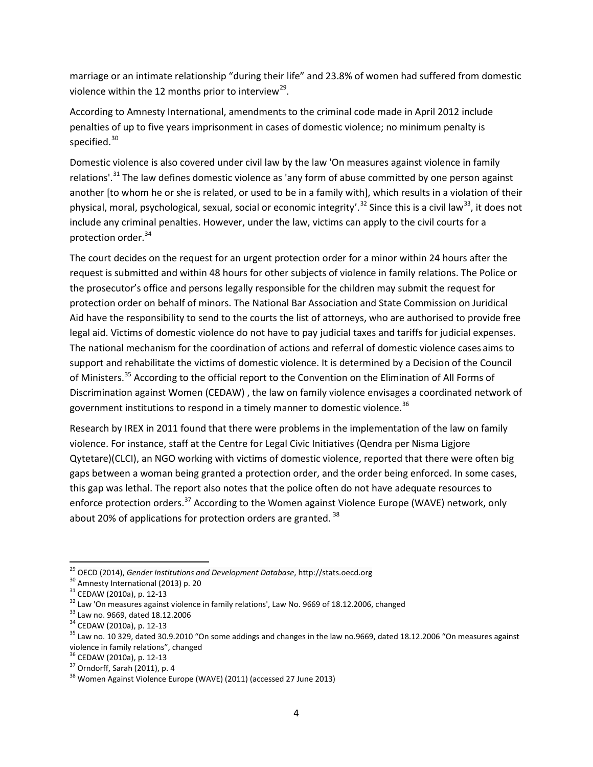marriage or an intimate relationship "during their life" and 23.8% of women had suffered from domestic violence within the 12 months prior to interview<sup>29</sup>.

According to Amnesty International, amendments to the criminal code made in April 2012 include penalties of up to five years imprisonment in cases of domestic violence; no minimum penalty is specified.<sup>[30](#page-3-1)</sup>

Domestic violence is also covered under civil law by the law 'On measures against violence in family relations'.<sup>[31](#page-3-2)</sup> The law defines domestic violence as 'any form of abuse committed by one person against another [to whom he or she is related, or used to be in a family with], which results in a violation of their physical, moral, psychological, sexual, social or economic integrity'.<sup>[32](#page-3-3)</sup> Since this is a civil law<sup>[33](#page-3-4)</sup>, it does not include any criminal penalties. However, under the law, victims can apply to the civil courts for a protection order.<sup>[34](#page-3-5)</sup>

The court decides on the request for an urgent protection order for a minor within 24 hours after the request is submitted and within 48 hours for other subjects of violence in family relations. The Police or the prosecutor's office and persons legally responsible for the children may submit the request for protection order on behalf of minors. The National Bar Association and State Commission on Juridical Aid have the responsibility to send to the courts the list of attorneys, who are authorised to provide free legal aid. Victims of domestic violence do not have to pay judicial taxes and tariffs for judicial expenses. The national mechanism for the coordination of actions and referral of domestic violence cases aims to support and rehabilitate the victims of domestic violence. It is determined by a Decision of the Council of Ministers.<sup>[35](#page-3-6)</sup> According to the official report to the Convention on the Elimination of All Forms of Discrimination against Women (CEDAW) , the law on family violence envisages a coordinated network of government institutions to respond in a timely manner to domestic violence.<sup>[36](#page-3-7)</sup>

Research by IREX in 2011 found that there were problems in the implementation of the law on family violence. For instance, staff at the Centre for Legal Civic Initiatives (Qendra per Nisma Ligjore Qytetare)(CLCI), an NGO working with victims of domestic violence, reported that there were often big gaps between a woman being granted a protection order, and the order being enforced. In some cases, this gap was lethal. The report also notes that the police often do not have adequate resources to enforce protection orders.<sup>[37](#page-3-8)</sup> According to the Women against Violence Europe (WAVE) network, only about 20% of applications for protection orders are granted.  $38$ 

<span id="page-3-1"></span>

<span id="page-3-2"></span>

<span id="page-3-3"></span>

<span id="page-3-4"></span>

<span id="page-3-6"></span><span id="page-3-5"></span>

<span id="page-3-0"></span><sup>&</sup>lt;sup>29</sup> OECD (2014), *Gender Institutions and Development Database*, http://stats.oecd.org<br><sup>30</sup> Amnesty International (2013) p. 20<br><sup>31</sup> CEDAW (2010a), p. 12-13<br><sup>32</sup> Law 'On measures against violence in family relations', Law violence in family relations", changed<br><sup>36</sup> CEDAW (2010a), p. 12-13

<span id="page-3-9"></span><span id="page-3-8"></span><span id="page-3-7"></span> $37$  Orndorff, Sarah (2011), p. 4<br> $38$  Women Against Violence Europe (WAVE) (2011) (accessed 27 June 2013)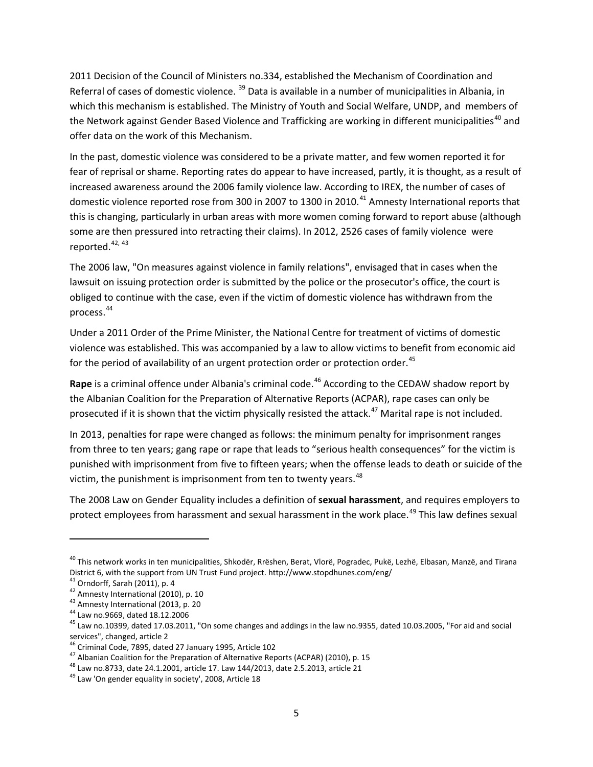2011 Decision of the Council of Ministers no.334, established the Mechanism of Coordination and Referral of cases of domestic violence.<sup>[39](#page-4-0)</sup> Data is available in a number of municipalities in Albania, in which this mechanism is established. The Ministry of Youth and Social Welfare, UNDP, and members of the Network against Gender Based Violence and Trafficking are working in different municipalities<sup>[40](#page-4-1)</sup> and offer data on the work of this Mechanism.

In the past, domestic violence was considered to be a private matter, and few women reported it for fear of reprisal or shame. Reporting rates do appear to have increased, partly, it is thought, as a result of increased awareness around the 2006 family violence law. According to IREX, the number of cases of domestic violence reported rose from 300 in 2007 to 1300 in 2010.<sup>[41](#page-4-2)</sup> Amnesty International reports that this is changing, particularly in urban areas with more women coming forward to report abuse (although some are then pressured into retracting their claims). In 2012, 2526 cases of family violence were reported. $42, 43$  $42, 43$  $42, 43$ 

The 2006 law, "On measures against violence in family relations", envisaged that in cases when the lawsuit on issuing protection order is submitted by the police or the prosecutor's office, the court is obliged to continue with the case, even if the victim of domestic violence has withdrawn from the process.[44](#page-4-5)

Under a 2011 Order of the Prime Minister, the National Centre for treatment of victims of domestic violence was established. This was accompanied by a law to allow victims to benefit from economic aid for the period of availability of an urgent protection order or protection order.<sup>[45](#page-4-6)</sup>

Rape is a criminal offence under Albania's criminal code.<sup>[46](#page-4-7)</sup> According to the CEDAW shadow report by the Albanian Coalition for the Preparation of Alternative Reports (ACPAR), rape cases can only be prosecuted if it is shown that the victim physically resisted the attack.<sup>[47](#page-4-8)</sup> Marital rape is not included.

In 2013, penalties for rape were changed as follows: the minimum penalty for imprisonment ranges from three to ten years; gang rape or rape that leads to "serious health consequences" for the victim is punished with imprisonment from five to fifteen years; when the offense leads to death or suicide of the victim, the punishment is imprisonment from ten to twenty years. $48$ 

The 2008 Law on Gender Equality includes a definition of **sexual harassment**, and requires employers to protect employees from harassment and sexual harassment in the work place.<sup>[49](#page-4-10)</sup> This law defines sexual

 $\overline{\phantom{a}}$ 

<span id="page-4-1"></span><span id="page-4-0"></span><sup>&</sup>lt;sup>40</sup> This network works in ten municipalities, Shkodër, Rrëshen, Berat, Vlorë, Pogradec, Pukë, Lezhë, Elbasan, Manzë, and Tirana District 6, with the support from UN Trust Fund project. http://www.stopdhunes.com/eng/<br><sup>41</sup> Orndorff, Sarah (2011), p. 4<br><sup>42</sup> Amnesty International (2010), p. 10<br><sup>43</sup> Amnesty International (2013, p. 20<br><sup>44</sup> Law no.9669, d

<span id="page-4-2"></span>

<span id="page-4-3"></span>

<span id="page-4-4"></span>

<span id="page-4-5"></span>

<span id="page-4-6"></span>services", changed, article 2<br><sup>46</sup> Criminal Code, 7895, dated 27 January 1995, Article 102

<span id="page-4-9"></span><span id="page-4-8"></span><span id="page-4-7"></span><sup>&</sup>lt;sup>47</sup> Albanian Coalition for the Preparation of Alternative Reports (ACPAR) (2010), p. 15<br><sup>48</sup> Law no.8733, date 24.1.2001, article 17. Law 144/2013, date 2.5.2013, article 21<br><sup>49</sup> Law 'On gender equality in society', 2008

<span id="page-4-10"></span>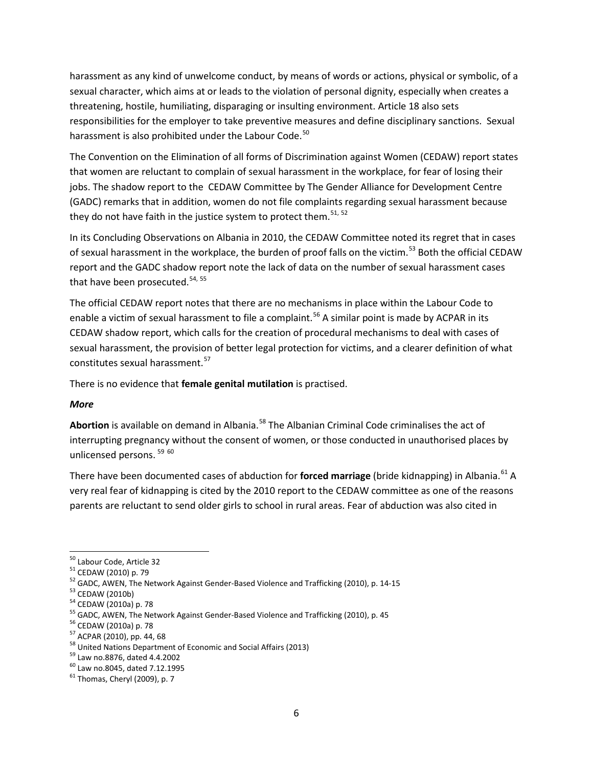harassment as any kind of unwelcome conduct, by means of words or actions, physical or symbolic, of a sexual character, which aims at or leads to the violation of personal dignity, especially when creates a threatening, hostile, humiliating, disparaging or insulting environment. Article 18 also sets responsibilities for the employer to take preventive measures and define disciplinary sanctions. Sexual harassment is also prohibited under the Labour Code.<sup>[50](#page-5-0)</sup>

The Convention on the Elimination of all forms of Discrimination against Women (CEDAW) report states that women are reluctant to complain of sexual harassment in the workplace, for fear of losing their jobs. The shadow report to the CEDAW Committee by The Gender Alliance for Development Centre (GADC) remarks that in addition, women do not file complaints regarding sexual harassment because they do not have faith in the justice system to protect them.<sup>[51](#page-5-1), [52](#page-5-2)</sup>

In its Concluding Observations on Albania in 2010, the CEDAW Committee noted its regret that in cases of sexual harassment in the workplace, the burden of proof falls on the victim.<sup>[53](#page-5-3)</sup> Both the official CEDAW report and the GADC shadow report note the lack of data on the number of sexual harassment cases that have been prosecuted.<sup>[54,](#page-5-4) [55](#page-5-5)</sup>

The official CEDAW report notes that there are no mechanisms in place within the Labour Code to enable a victim of sexual harassment to file a complaint.<sup>[56](#page-5-6)</sup> A similar point is made by ACPAR in its CEDAW shadow report, which calls for the creation of procedural mechanisms to deal with cases of sexual harassment, the provision of better legal protection for victims, and a clearer definition of what constitutes sexual harassment.<sup>[57](#page-5-7)</sup>

There is no evidence that **female genital mutilation** is practised.

#### *More*

Abortion is available on demand in Albania.<sup>[58](#page-5-8)</sup> The Albanian Criminal Code criminalises the act of interrupting pregnancy without the consent of women, or those conducted in unauthorised places by unlicensed persons.<sup>[59](#page-5-9) [60](#page-5-10)</sup>

There have been documented cases of abduction for **forced marriage** (bride kidnapping) in Albania.<sup>[61](#page-5-11)</sup> A very real fear of kidnapping is cited by the 2010 report to the CEDAW committee as one of the reasons parents are reluctant to send older girls to school in rural areas. Fear of abduction was also cited in

<span id="page-5-0"></span>

<span id="page-5-2"></span><span id="page-5-1"></span>

<sup>&</sup>lt;sup>50</sup> Labour Code, Article 32<br><sup>51</sup> CEDAW (2010) p. 79<br><sup>52</sup> GADC, AWEN, The Network Against Gender-Based Violence and Trafficking (2010), p. 14-15<br><sup>54</sup> CEDAW (2010a) p. 78<br><sup>54</sup> CEDAW (2010a) p. 78<br><sup>55</sup> GADC, AWEN, The Networ

<span id="page-5-3"></span>

<span id="page-5-4"></span>

<span id="page-5-5"></span>

<span id="page-5-6"></span>

<span id="page-5-7"></span>

<span id="page-5-9"></span><span id="page-5-8"></span>

<span id="page-5-10"></span>

<span id="page-5-11"></span>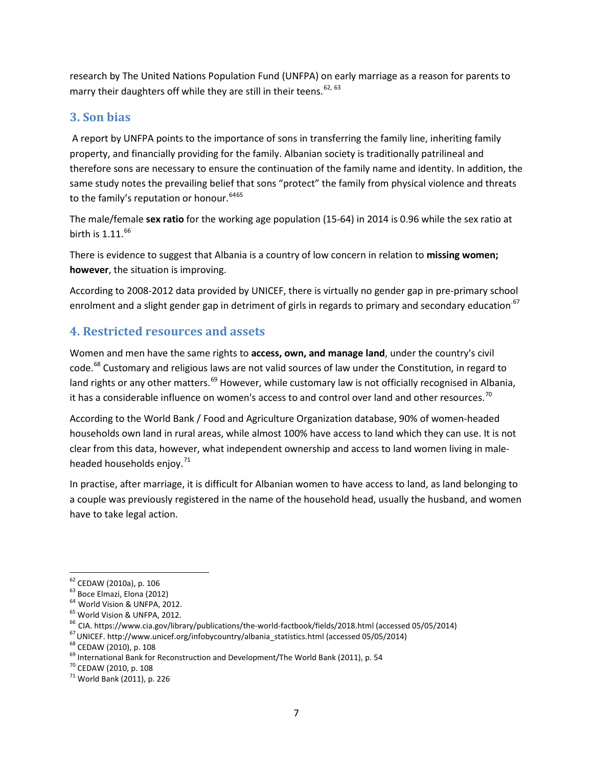research by The United Nations Population Fund (UNFPA) on early marriage as a reason for parents to marry their daughters off while they are still in their teens.  $62, 63$  $62, 63$  $62, 63$ 

### **3. Son bias**

A report by UNFPA points to the importance of sons in transferring the family line, inheriting family property, and financially providing for the family. Albanian society is traditionally patrilineal and therefore sons are necessary to ensure the continuation of the family name and identity. In addition, the same study notes the prevailing belief that sons "protect" the family from physical violence and threats to the family's reputation or honour.<sup>[64](#page-6-2)[65](#page-6-3)</sup>

The male/female **sex ratio** for the working age population (15-64) in 2014 is 0.96 while the sex ratio at birth is  $1.11<sup>66</sup>$  $1.11<sup>66</sup>$  $1.11<sup>66</sup>$ 

There is evidence to suggest that Albania is a country of low concern in relation to **missing women; however**, the situation is improving.

According to 2008-2012 data provided by UNICEF, there is virtually no gender gap in pre-primary school enrolment and a slight gender gap in detriment of girls in regards to primary and secondary education.<sup>[67](#page-6-5)</sup>

### **4. Restricted resources and assets**

Women and men have the same rights to **access, own, and manage land**, under the country's civil code.<sup>[68](#page-6-6)</sup> Customary and religious laws are not valid sources of law under the Constitution, in regard to land rights or any other matters.<sup>[69](#page-6-7)</sup> However, while customary law is not officially recognised in Albania, it has a considerable influence on women's access to and control over land and other resources.<sup>[70](#page-6-8)</sup>

According to the World Bank / Food and Agriculture Organization database, 90% of women-headed households own land in rural areas, while almost 100% have access to land which they can use. It is not clear from this data, however, what independent ownership and access to land women living in male-headed households enjoy.<sup>[71](#page-6-9)</sup>

In practise, after marriage, it is difficult for Albanian women to have access to land, as land belonging to a couple was previously registered in the name of the household head, usually the husband, and women have to take legal action.

<span id="page-6-0"></span>

<span id="page-6-1"></span>

<span id="page-6-2"></span>

<span id="page-6-3"></span>

<sup>&</sup>lt;sup>62</sup> CEDAW (2010a), p. 106<br><sup>63</sup> Boce Elmazi, Elona (2012)<br><sup>64</sup> World Vision & UNFPA, 2012.<br><sup>65</sup> World Vision & UNFPA, 2012.<br><sup>66</sup> CIA[. https://www.cia.gov/library/publications/the-world-factbook/fields/2018.html](https://www.cia.gov/library/publications/the-world-factbook/fields/2018.html) (accessed 0

<span id="page-6-5"></span><span id="page-6-4"></span>

<span id="page-6-6"></span>

<span id="page-6-7"></span>

<span id="page-6-8"></span>

<span id="page-6-9"></span>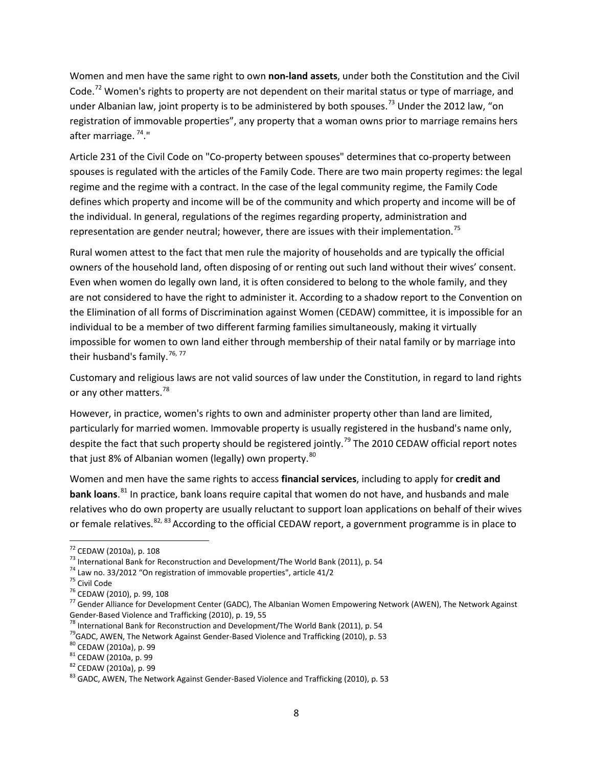Women and men have the same right to own **non-land assets**, under both the Constitution and the Civil Code.<sup>[72](#page-7-0)</sup> Women's rights to property are not dependent on their marital status or type of marriage, and under Albanian law, joint property is to be administered by both spouses.<sup>[73](#page-7-1)</sup> Under the 2012 law, "on registration of immovable properties", any property that a woman owns prior to marriage remains hers after marriage. [74](#page-7-2)."

Article 231 of the Civil Code on "Co-property between spouses" determines that co-property between spouses is regulated with the articles of the Family Code. There are two main property regimes: the legal regime and the regime with a contract. In the case of the legal community regime, the Family Code defines which property and income will be of the community and which property and income will be of the individual. In general, regulations of the regimes regarding property, administration and representation are gender neutral; however, there are issues with their implementation.<sup>[75](#page-7-3)</sup>

Rural women attest to the fact that men rule the majority of households and are typically the official owners of the household land, often disposing of or renting out such land without their wives' consent. Even when women do legally own land, it is often considered to belong to the whole family, and they are not considered to have the right to administer it. According to a shadow report to the Convention on the Elimination of all forms of Discrimination against Women (CEDAW) committee, it is impossible for an individual to be a member of two different farming families simultaneously, making it virtually impossible for women to own land either through membership of their natal family or by marriage into their husband's family.<sup>[76](#page-7-4), [77](#page-7-5)</sup>

Customary and religious laws are not valid sources of law under the Constitution, in regard to land rights or any other matters.<sup>[78](#page-7-6)</sup>

However, in practice, women's rights to own and administer property other than land are limited, particularly for married women. Immovable property is usually registered in the husband's name only, despite the fact that such property should be registered jointly.<sup>[79](#page-7-7)</sup> The 2010 CEDAW official report notes that just 8% of Albanian women (legally) own property.<sup>[80](#page-7-8)</sup>

Women and men have the same rights to access **financial services**, including to apply for **credit and bank loans**. [81](#page-7-9) In practice, bank loans require capital that women do not have, and husbands and male relatives who do own property are usually reluctant to support loan applications on behalf of their wives or female relatives.  $82, 83$  $82, 83$  $82, 83$  According to the official CEDAW report, a government programme is in place to

<span id="page-7-1"></span>

<span id="page-7-3"></span><span id="page-7-2"></span>

<span id="page-7-5"></span><span id="page-7-4"></span>

<span id="page-7-0"></span><sup>&</sup>lt;sup>72</sup> CEDAW (2010a), p. 108<br>
<sup>73</sup> International Bank for Reconstruction and Development/The World Bank (2011), p. 54<br>
<sup>74</sup> Law no. 33/2012 "On registration of immovable properties", article 41/2<br>
<sup>75</sup> Civil Code<br>
<sup>76</sup> CEDA

<span id="page-7-7"></span><span id="page-7-6"></span><sup>&</sup>lt;sup>78</sup> International Bank for Reconstruction and Development/The World Bank (2011), p. 54<br><sup>79</sup>GADC, AWEN, The Network Against Gender-Based Violence and Trafficking (2010), p. 53<br><sup>80</sup> CEDAW (2010a), p. 99<br><sup>81</sup> CEDAW (2010a),

<span id="page-7-8"></span>

<span id="page-7-9"></span>

<span id="page-7-10"></span>

<span id="page-7-11"></span>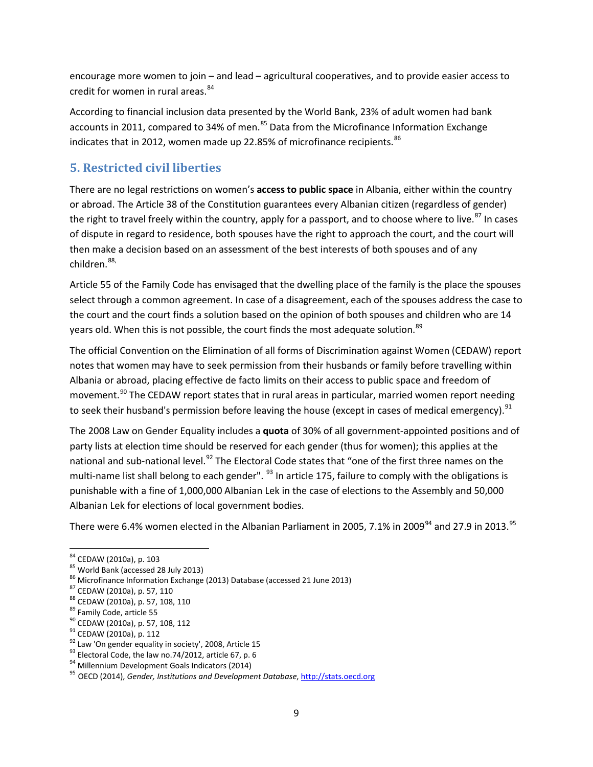encourage more women to join – and lead – agricultural cooperatives, and to provide easier access to credit for women in rural areas.<sup>[84](#page-8-0)</sup>

According to financial inclusion data presented by the World Bank, 23% of adult women had bank accounts in 2011, compared to 34% of men.<sup>[85](#page-8-1)</sup> Data from the Microfinance Information Exchange indicates that in 2012, women made up 22.85% of microfinance recipients. [86](#page-8-2)

## **5. Restricted civil liberties**

There are no legal restrictions on women's **access to public space** in Albania, either within the country or abroad. The Article 38 of the Constitution guarantees every Albanian citizen (regardless of gender) the right to travel freely within the country, apply for a passport, and to choose where to live.<sup>[87](#page-8-3)</sup> In cases of dispute in regard to residence, both spouses have the right to approach the court, and the court will then make a decision based on an assessment of the best interests of both spouses and of any children. [88,](#page-8-4)

Article 55 of the Family Code has envisaged that the dwelling place of the family is the place the spouses select through a common agreement. In case of a disagreement, each of the spouses address the case to the court and the court finds a solution based on the opinion of both spouses and children who are 14 years old. When this is not possible, the court finds the most adequate solution.<sup>[89](#page-8-5)</sup>

The official Convention on the Elimination of all forms of Discrimination against Women (CEDAW) report notes that women may have to seek permission from their husbands or family before travelling within Albania or abroad, placing effective de facto limits on their access to public space and freedom of movement.<sup>[90](#page-8-6)</sup> The CEDAW report states that in rural areas in particular, married women report needing to seek their husband's permission before leaving the house (except in cases of medical emergency).<sup>[91](#page-8-7)</sup>

The 2008 Law on Gender Equality includes a **quota** of 30% of all government-appointed positions and of party lists at election time should be reserved for each gender (thus for women); this applies at the national and sub-national level.<sup>[92](#page-8-8)</sup> The Electoral Code states that "one of the first three names on the multi-name list shall belong to each gender". <sup>[93](#page-8-9)</sup> In article 175, failure to comply with the obligations is punishable with a fine of 1,000,000 Albanian Lek in the case of elections to the Assembly and 50,000 Albanian Lek for elections of local government bodies.

There were 6.4% women elected in the Albanian Parliament in 2005, 7.1% in 2009<sup>[94](#page-8-10)</sup> and 27.9 in 2013.<sup>[95](#page-8-11)</sup>

<span id="page-8-0"></span>

<span id="page-8-1"></span>

<span id="page-8-3"></span><span id="page-8-2"></span>

<span id="page-8-4"></span>

<span id="page-8-5"></span>

<span id="page-8-6"></span>

<span id="page-8-7"></span>

<span id="page-8-8"></span>

<span id="page-8-9"></span>

<span id="page-8-11"></span><span id="page-8-10"></span>

<sup>&</sup>lt;sup>84</sup> CEDAW (2010a), p. 103<br><sup>85</sup> World Bank (accessed 28 July 2013)<br><sup>86</sup> Microfinance Information Exchange (2013) Database (accessed 21 June 2013)<br><sup>87</sup> CEDAW (2010a), p. 57, 110<br><sup>88</sup> CEDAW (2010a), p. 57, 108, 110<br><sup>89</sup> Fami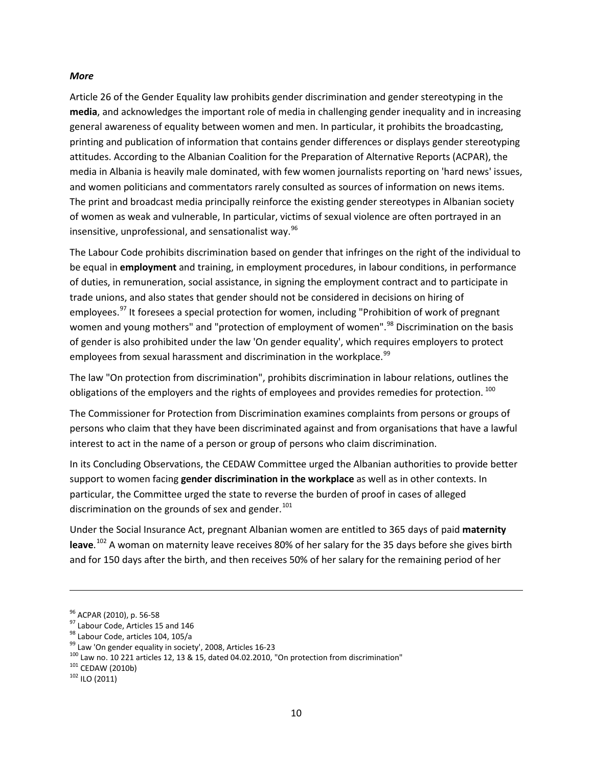#### *More*

Article 26 of the Gender Equality law prohibits gender discrimination and gender stereotyping in the **media**, and acknowledges the important role of media in challenging gender inequality and in increasing general awareness of equality between women and men. In particular, it prohibits the broadcasting, printing and publication of information that contains gender differences or displays gender stereotyping attitudes. According to the Albanian Coalition for the Preparation of Alternative Reports (ACPAR), the media in Albania is heavily male dominated, with few women journalists reporting on 'hard news' issues, and women politicians and commentators rarely consulted as sources of information on news items. The print and broadcast media principally reinforce the existing gender stereotypes in Albanian society of women as weak and vulnerable, In particular, victims of sexual violence are often portrayed in an insensitive, unprofessional, and sensationalist way. $96$ 

The Labour Code prohibits discrimination based on gender that infringes on the right of the individual to be equal in **employment** and training, in employment procedures, in labour conditions, in performance of duties, in remuneration, social assistance, in signing the employment contract and to participate in trade unions, and also states that gender should not be considered in decisions on hiring of employees.<sup>[97](#page-9-1)</sup> It foresees a special protection for women, including "Prohibition of work of pregnant women and young mothers" and "protection of employment of women".<sup>[98](#page-9-2)</sup> Discrimination on the basis of gender is also prohibited under the law 'On gender equality', which requires employers to protect employees from sexual harassment and discrimination in the workplace.<sup>[99](#page-9-3)</sup>

The law "On protection from discrimination", prohibits discrimination in labour relations, outlines the obligations of the employers and the rights of employees and provides remedies for protection.  $^{100}$  $^{100}$  $^{100}$ 

The Commissioner for Protection from Discrimination examines complaints from persons or groups of persons who claim that they have been discriminated against and from organisations that have a lawful interest to act in the name of a person or group of persons who claim discrimination.

In its Concluding Observations, the CEDAW Committee urged the Albanian authorities to provide better support to women facing **gender discrimination in the workplace** as well as in other contexts. In particular, the Committee urged the state to reverse the burden of proof in cases of alleged discrimination on the grounds of sex and gender. $101$ 

Under the Social Insurance Act, pregnant Albanian women are entitled to 365 days of paid **maternity leave**. [102](#page-9-6) A woman on maternity leave receives 80% of her salary for the 35 days before she gives birth and for 150 days after the birth, and then receives 50% of her salary for the remaining period of her

 $\overline{\phantom{a}}$ 

<span id="page-9-2"></span>

<span id="page-9-4"></span><span id="page-9-3"></span>

<span id="page-9-1"></span><span id="page-9-0"></span><sup>&</sup>lt;sup>96</sup> ACPAR (2010), p. 56-58<br><sup>97</sup> Labour Code, Articles 15 and 146<br><sup>98</sup> Labour Code, articles 104, 105/a<br><sup>99</sup> Law 'On gender equality in society', 2008, Articles 16-23<br><sup>100</sup> Law no. 10 221 articles 12, 13 & 15, dated 04.02

<span id="page-9-5"></span>

<span id="page-9-6"></span>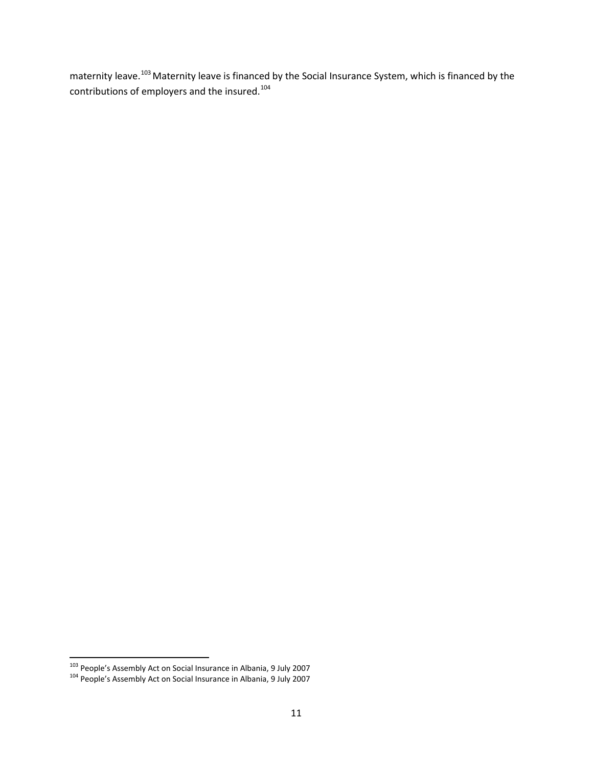maternity leave.<sup>[103](#page-10-0)</sup> Maternity leave is financed by the Social Insurance System, which is financed by the contributions of employers and the insured.[104](#page-10-1)

<span id="page-10-1"></span><span id="page-10-0"></span><sup>&</sup>lt;sup>103</sup> People's Assembly Act on Social Insurance in Albania, 9 July 2007<br><sup>104</sup> People's Assembly Act on Social Insurance in Albania, 9 July 2007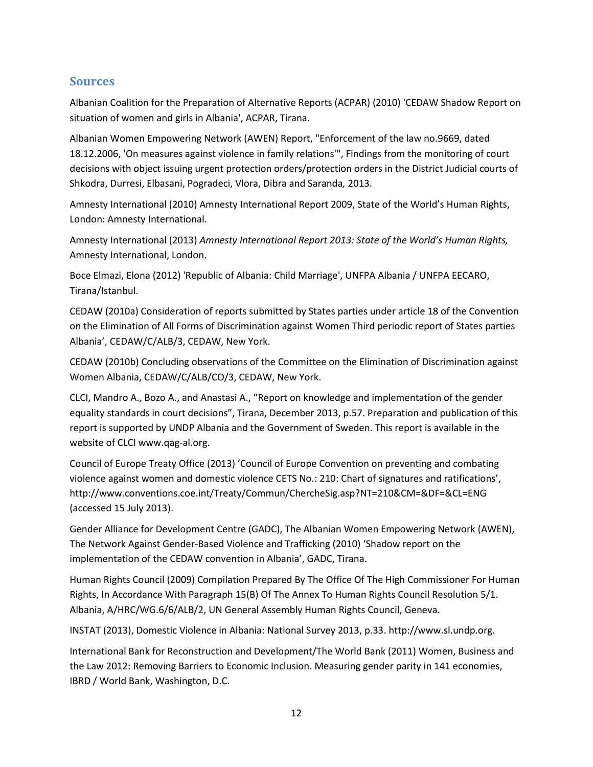### **Sources**

Albanian Coalition for the Preparation of Alternative Reports (ACPAR) (2010) 'CEDAW Shadow Report on situation of women and girls in Albania', ACPAR, Tirana.

Albanian Women Empowering Network (AWEN) Report, "Enforcement of the law no.9669, dated 18.12.2006, 'On measures against violence in family relations'", Findings from the monitoring of court decisions with object issuing urgent protection orders/protection orders in the District Judicial courts of Shkodra, Durresi, Elbasani, Pogradeci, Vlora, Dibra and Saranda*,* 2013.

Amnesty International (2010) Amnesty International Report 2009, State of the World's Human Rights, London: Amnesty International.

Amnesty International (2013) *Amnesty International Report 2013: State of the World's Human Rights,*  Amnesty International, London.

Boce Elmazi, Elona (2012) 'Republic of Albania: Child Marriage', UNFPA Albania / UNFPA EECARO, Tirana/Istanbul.

CEDAW (2010a) Consideration of reports submitted by States parties under article 18 of the Convention on the Elimination of All Forms of Discrimination against Women Third periodic report of States parties Albania', CEDAW/C/ALB/3, CEDAW, New York.

CEDAW (2010b) Concluding observations of the Committee on the Elimination of Discrimination against Women Albania, CEDAW/C/ALB/CO/3, CEDAW, New York.

CLCI, Mandro A., Bozo A., and Anastasi A., "Report on knowledge and implementation of the gender equality standards in court decisions", Tirana, December 2013, p.57. Preparation and publication of this report is supported by UNDP Albania and the Government of Sweden. This report is available in the website of CLCI www.qag-al.org.

Council of Europe Treaty Office (2013) 'Council of Europe Convention on preventing and combating violence against women and domestic violence CETS No.: 210: Chart of signatures and ratifications', <http://www.conventions.coe.int/Treaty/Commun/ChercheSig.asp?NT=210&CM=&DF=&CL=ENG> (accessed 15 July 2013).

Gender Alliance for Development Centre (GADC), The Albanian Women Empowering Network (AWEN), The Network Against Gender-Based Violence and Trafficking (2010) 'Shadow report on the implementation of the CEDAW convention in Albania', GADC, Tirana.

Human Rights Council (2009) Compilation Prepared By The Office Of The High Commissioner For Human Rights, In Accordance With Paragraph 15(B) Of The Annex To Human Rights Council Resolution 5/1. Albania, A/HRC/WG.6/6/ALB/2, UN General Assembly Human Rights Council, Geneva.

INSTAT (2013), Domestic Violence in Albania: National Survey 2013, p.33. http://www.sl.undp.org.

International Bank for Reconstruction and Development/The World Bank (2011) Women, Business and the Law 2012: Removing Barriers to Economic Inclusion. Measuring gender parity in 141 economies, IBRD / World Bank, Washington, D.C.